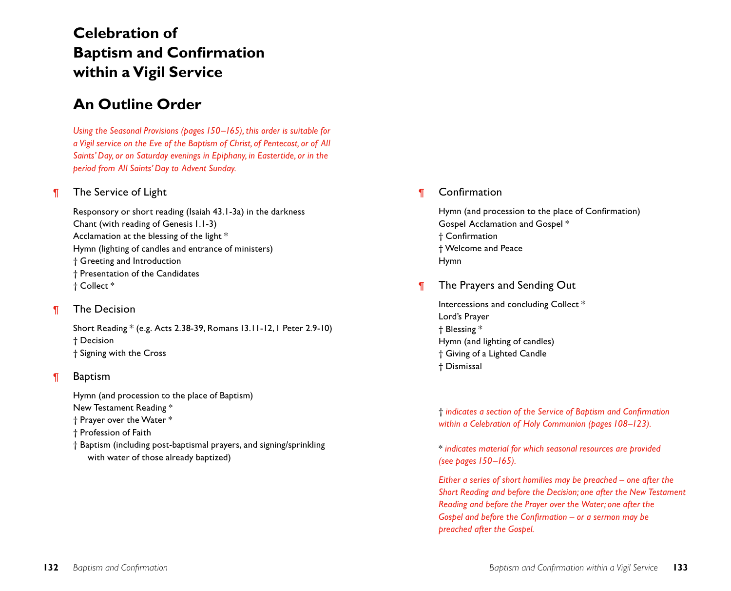# **Celebration of Baptism and Confirmation within a Vigil Service**

## **An Outline Order**

*Using the Seasonal Provisions (pages 150–165), this order is suitable for a Vigil service on the Eve of the Baptism of Christ, of Pentecost, or of All Saints' Day, or on Saturday evenings in Epiphany, in Eastertide, or in the period from All Saints' Day to Advent Sunday.*

## **The Service of Light**

Responsory or short reading (Isaiah 43.1-3a) in the darkness Chant (with reading of Genesis 1.1-3) Acclamation at the blessing of the light \* Hymn (lighting of candles and entrance of ministers) † Greeting and Introduction † Presentation of the Candidates † Collect \*

## ¶ The Decision

Short Reading \* (e.g. Acts 2.38-39, Romans 13.11-12,1 Peter 2.9-10) † Decision † Signing with the Cross

## ¶ Baptism

Hymn (and procession to the place of Baptism) New Testament Reading \* † Prayer over the Water \* † Profession of Faith † Baptism (including post-baptismal prayers, and signing/sprinkling with water of those already baptized)

## **Confirmation**

Hymn (and procession to the place of Confirmation) Gospel Acclamation and Gospel \* † Confirmation † Welcome and Peace Hymn

## **The Prayers and Sending Out**

Intercessions and concluding Collect \* Lord's Prayer † Blessing \* Hymn (and lighting of candles) † Giving of a Lighted Candle † Dismissal

† *indicates a section of the Service of Baptism and Confirmation within a Celebration of Holy Communion (pages 108–123).*

\* *indicates material for which seasonal resources are provided (see pages 150–165).*

*Either a series of short homilies may be preached – one after the Short Reading and before the Decision; one after the New Testament Reading and before the Prayer over the Water; one after the Gospel and before the Confirmation – or a sermon may be preached after the Gospel.*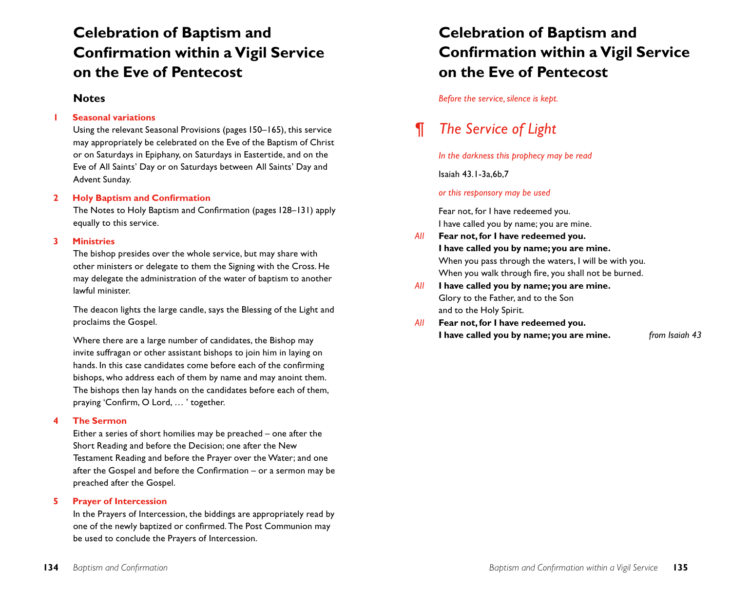# **Celebration of Baptism and Confirmation within a Vigil Service on the Eve of Pentecost**

#### **Notes**

#### **1 Seasonal variations**

Using the relevant Seasonal Provisions (pages 150–165), this service may appropriately be celebrated on the Eve of the Baptism of Christ or on Saturdays in Epiphany, on Saturdays in Eastertide, and on the Eve of All Saints' Day or on Saturdays between All Saints' Day and Advent Sunday.

#### **2 Holy Baptism and Confirmation**

The Notes to Holy Baptism and Confirmation (pages 128–131) apply equally to this service.

#### **3 Ministries**

The bishop presides over the whole service, but may share with other ministers or delegate to them the Signing with the Cross. He may delegate the administration of the water of baptism to another lawful minister.

The deacon lights the large candle, says the Blessing of the Light and proclaims the Gospel.

Where there are a large number of candidates, the Bishop may invite suffragan or other assistant bishops to join him in laying on hands. In this case candidates come before each of the confirming bishops, who address each of them by name and may anoint them. The bishops then lay hands on the candidates before each of them, praying 'Confirm, O Lord, … ' together.

#### **4 The Sermon**

Either a series of short homilies may be preached – one after the Short Reading and before the Decision; one after the New Testament Reading and before the Prayer over the Water; and one after the Gospel and before the Confirmation – or a sermon may be preached after the Gospel.

#### **5 Prayer of Intercession**

In the Prayers of Intercession, the biddings are appropriately read by one of the newly baptized or confirmed. The Post Communion may be used to conclude the Prayers of Intercession.

# **Celebration of Baptism and Confirmation within a Vigil Service on the Eve of Pentecost**

*Before the service, silence is kept.*

# ¶ *The Service of Light*

*In the darkness this prophecy may be read*

Isaiah 43.1-3a,6b,7

#### *or this responsory may be used*

Fear not, for I have redeemed you. I have called you by name; you are mine.

- *All* **Fear not, for I have redeemed you. I have called you by name; you are mine.** When you pass through the waters, I will be with you. When you walk through fire, you shall not be burned.
- *All* **I have called you by name; you are mine.** Glory to the Father, and to the Son and to the Holy Spirit.
- *All* **Fear not, for I have redeemed you. I have called you by name; you are mine.** *from Isaiah 43*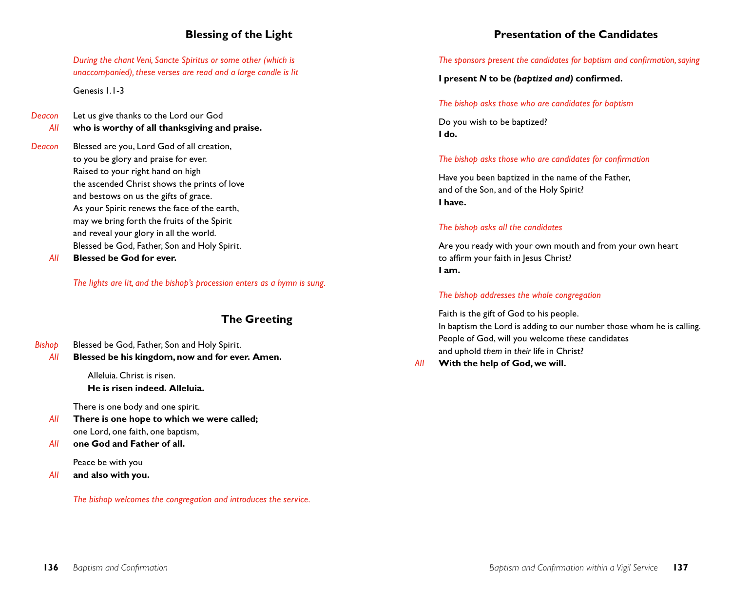## **Blessing of the Light**

*During the chant Veni, Sancte Spiritus or some other (which is unaccompanied), these verses are read and a large candle is lit*

Genesis 1.1-3

*Deacon* Let us give thanks to the Lord our God *All* **who is worthy of all thanksgiving and praise.**

- *Deacon* Blessed are you, Lord God of all creation, to you be glory and praise for ever. Raised to your right hand on high the ascended Christ shows the prints of love and bestows on us the gifts of grace. As your Spirit renews the face of the earth, may we bring forth the fruits of the Spirit and reveal your glory in all the world. Blessed be God, Father, Son and Holy Spirit.
	- *All* **Blessed be God for ever.**

*The lights are lit, and the bishop's procession enters as a hymn is sung.*

### **The Greeting**

#### *Bishop* Blessed be God, Father, Son and Holy Spirit.

*All* **Blessed be his kingdom, now and for ever. Amen.**

Alleluia. Christ is risen. **He is risen indeed. Alleluia.**

There is one body and one spirit.

- *All* **There is one hope to which we were called;** one Lord, one faith, one baptism,
- *All* **one God and Father of all.**

Peace be with you

*All* **and also with you.**

*The bishop welcomes the congregation and introduces the service.*

## **Presentation of the Candidates**

#### *The sponsors present the candidates for baptism and confirmation, saying*

#### **I present** *N* **to be** *(baptized and)* **confirmed.**

#### *The bishop asks those who are candidates for baptism*

Do you wish to be baptized? **I do.**

#### *The bishop asks those who are candidates for confirmation*

Have you been baptized in the name of the Father, and of the Son, and of the Holy Spirit? **I have.**

#### *The bishop asks all the candidates*

Are you ready with your own mouth and from your own heart to affirm your faith in Jesus Christ? **I am.**

#### *The bishop addresses the whole congregation*

Faith is the gift of God to his people. In baptism the Lord is adding to our number those whom he is calling. People of God, will you welcome *these* candidates and uphold *them* in *their* life in Christ?

*All* **With the help of God, we will.**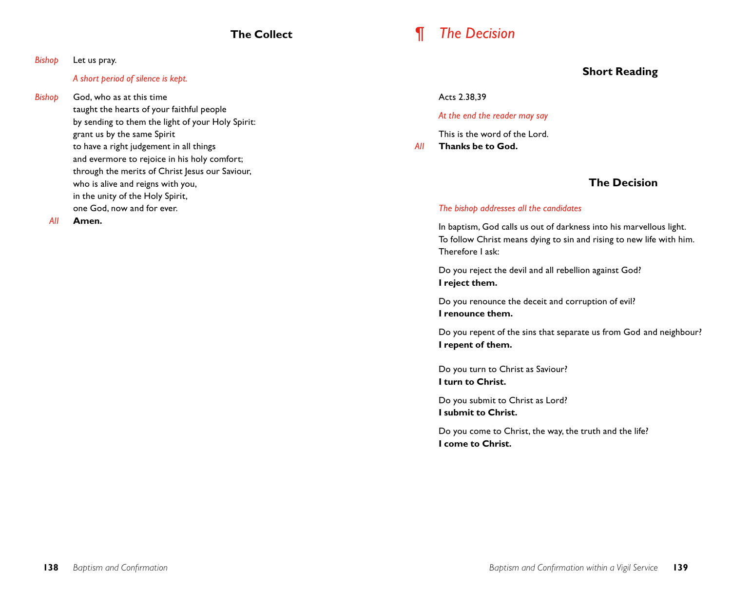## **The Collect**

#### *Bishop* Let us pray.

#### *A short period of silence is kept.*

*Bishop* God, who as at this time

taught the hearts of your faithful people by sending to them the light of your Holy Spirit: grant us by the same Spirit to have a right judgement in all things and evermore to rejoice in his holy comfort; through the merits of Christ Jesus our Saviour, who is alive and reigns with you, in the unity of the Holy Spirit, one God, now and for ever.

*All* **Amen.**

## ¶ *The Decision*

## **Short Reading**

#### Acts 2.38,39

#### *At the end the reader may say*

This is the word of the Lord.

*All* **Thanks be to God.**

### **The Decision**

#### *The bishop addresses all the candidates*

In baptism, God calls us out of darkness into his marvellous light. To follow Christ means dying to sin and rising to new life with him. Therefore I ask:

Do you reject the devil and all rebellion against God? **I reject them.**

Do you renounce the deceit and corruption of evil? **I renounce them.**

Do you repent of the sins that separate us from God and neighbour? **I repent of them.**

Do you turn to Christ as Saviour? **I turn to Christ.**

Do you submit to Christ as Lord? **I submit to Christ.**

Do you come to Christ, the way, the truth and the life? **I come to Christ.**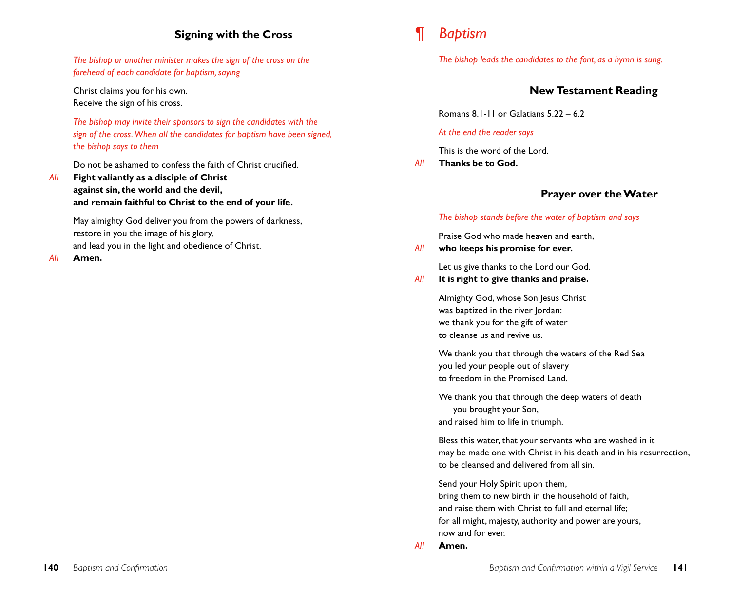## **Signing with the Cross**

*The bishop or another minister makes the sign of the cross on the forehead of each candidate for baptism, saying*

Christ claims you for his own. Receive the sign of his cross.

*The bishop may invite their sponsors to sign the candidates with the sign of the cross. When all the candidates for baptism have been signed, the bishop says to them* 

Do not be ashamed to confess the faith of Christ crucified.

*All* **Fight valiantly as a disciple of Christ against sin, the world and the devil, and remain faithful to Christ to the end of your life.**

May almighty God deliver you from the powers of darkness, restore in you the image of his glory, and lead you in the light and obedience of Christ.

*All* **Amen.**

## ¶ *Baptism*

*The bishop leads the candidates to the font, as a hymn is sung.*

## **New Testament Reading**

Romans 8.1-11 or Galatians 5.22 – 6.2

#### *At the end the reader says*

This is the word of the Lord.

*All* **Thanks be to God.**

#### **Prayer over the Water**

#### *The bishop stands before the water of baptism and says*

Praise God who made heaven and earth,

*All* **who keeps his promise for ever.**

Let us give thanks to the Lord our God.

*All* **It is right to give thanks and praise.**

Almighty God, whose Son Jesus Christ was baptized in the river Jordan: we thank you for the gift of water to cleanse us and revive us.

We thank you that through the waters of the Red Sea you led your people out of slavery to freedom in the Promised Land.

We thank you that through the deep waters of death you brought your Son, and raised him to life in triumph.

Bless this water, that your servants who are washed in it may be made one with Christ in his death and in his resurrection, to be cleansed and delivered from all sin.

Send your Holy Spirit upon them,

bring them to new birth in the household of faith, and raise them with Christ to full and eternal life; for all might, majesty, authority and power are yours, now and for ever.

*All* **Amen.**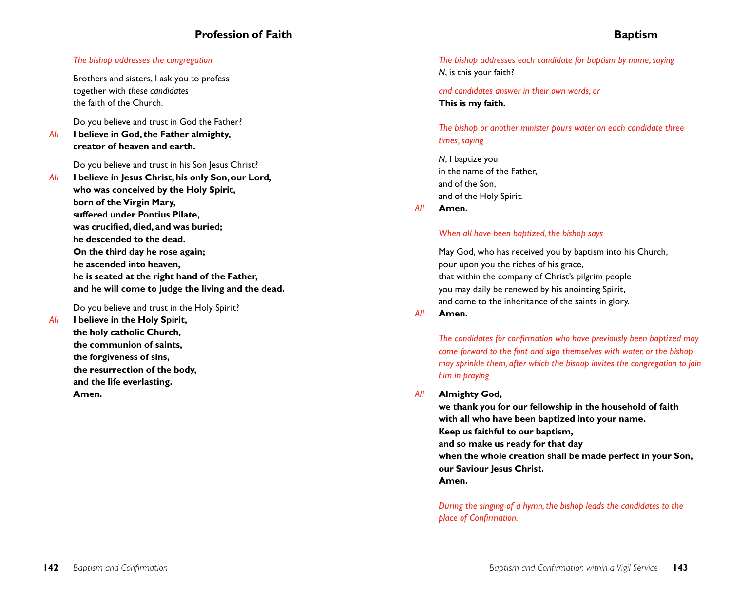## **Profession of Faith**

#### *The bishop addresses the congregation*

Brothers and sisters, I ask you to profess together with *these candidates* the faith of the Church.

Do you believe and trust in God the Father?

*All* **I believe in God, the Father almighty, creator of heaven and earth.**

Do you believe and trust in his Son Jesus Christ?

*All* **I believe in Jesus Christ, his only Son, our Lord, who was conceived by the Holy Spirit, born of the Virgin Mary, suffered under Pontius Pilate, was crucified, died, and was buried; he descended to the dead. On the third day he rose again; he ascended into heaven, he is seated at the right hand of the Father, and he will come to judge the living and the dead.**

Do you believe and trust in the Holy Spirit?

*All* **I believe in the Holy Spirit, the holy catholic Church, the communion of saints, the forgiveness of sins, the resurrection of the body, and the life everlasting. Amen.**

*The bishop addresses each candidate for baptism by name, saying* 

*N*, is this your faith?

*and candidates answer in their own words, or*  **This is my faith.**

*The bishop or another minister pours water on each candidate three times, saying*

*N*, I baptize you in the name of the Father, and of the Son, and of the Holy Spirit.

*All* **Amen.**

#### *When all have been baptized, the bishop says*

May God, who has received you by baptism into his Church, pour upon you the riches of his grace, that within the company of Christ's pilgrim people you may daily be renewed by his anointing Spirit, and come to the inheritance of the saints in glory.

*All* **Amen.**

*The candidates for confirmation who have previously been baptized may come forward to the font and sign themselves with water, or the bishop may sprinkle them, after which the bishop invites the congregation to join him in praying*

#### *All* **Almighty God,**

**we thank you for our fellowship in the household of faith with all who have been baptized into your name. Keep us faithful to our baptism, and so make us ready for that day when the whole creation shall be made perfect in your Son, our Saviour Jesus Christ. Amen.**

*During the singing of a hymn, the bishop leads the candidates to the place of Confirmation.*

## **Baptism**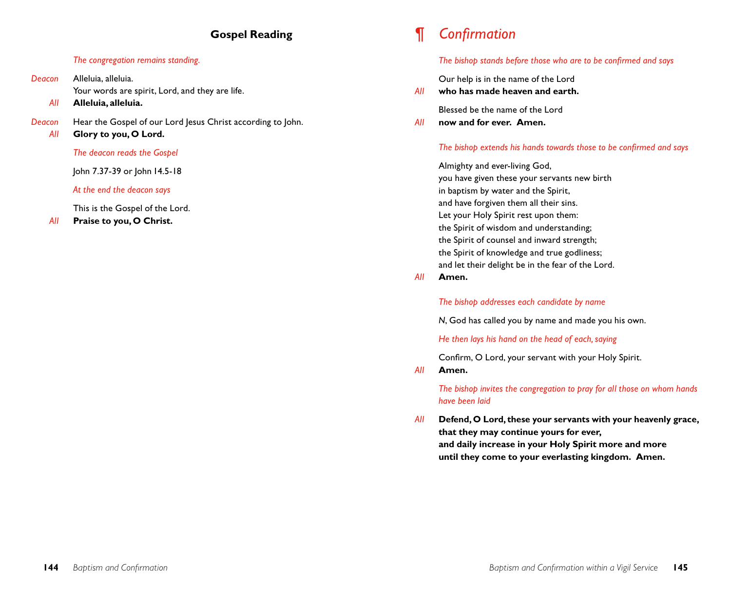## **Gospel Reading**

#### *The congregation remains standing.*

*Deacon* Alleluia, alleluia. Your words are spirit, Lord, and they are life.

- *All* **Alleluia, alleluia.**
- *Deacon* Hear the Gospel of our Lord lesus Christ according to John.

*All* **Glory to you, O Lord.**

*The deacon reads the Gospel*

John 7.37-39 or John 14.5-18

*At the end the deacon says*

This is the Gospel of the Lord.

*All* **Praise to you, O Christ.**

# ¶ *Confirmation*

## *The bishop stands before those who are to be confirmed and says*

Our help is in the name of the Lord

- *All* **who has made heaven and earth.**
	- Blessed be the name of the Lord
- *All* **now and for ever. Amen.**

#### *The bishop extends his hands towards those to be confirmed and says*

Almighty and ever-living God, you have given these your servants new birth in baptism by water and the Spirit, and have forgiven them all their sins. Let your Holy Spirit rest upon them: the Spirit of wisdom and understanding; the Spirit of counsel and inward strength; the Spirit of knowledge and true godliness; and let their delight be in the fear of the Lord.

*All* **Amen.**

*The bishop addresses each candidate by name*

*N*, God has called you by name and made you his own.

*He then lays his hand on the head of each, saying*

Confirm, O Lord, your servant with your Holy Spirit.

*All* **Amen.**

*The bishop invites the congregation to pray for all those on whom hands have been laid*

*All* **Defend, O Lord, these your servants with your heavenly grace, that they may continue yours for ever, and daily increase in your Holy Spirit more and more until they come to your everlasting kingdom. Amen.**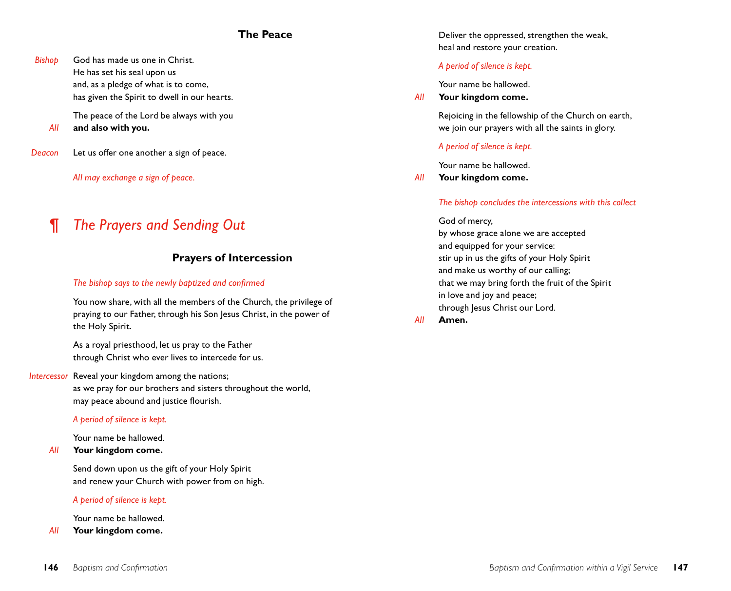### **The Peace**

*Bishop* God has made us one in Christ. He has set his seal upon us and, as a pledge of what is to come, has given the Spirit to dwell in our hearts.

The peace of the Lord be always with you

*All* **and also with you.**

*Deacon* Let us offer one another a sign of peace.

*All may exchange a sign of peace.*

## ¶ *The Prayers and Sending Out*

## **Prayers of Intercession**

#### *The bishop says to the newly baptized and confirmed*

You now share, with all the members of the Church, the privilege of praying to our Father, through his Son Jesus Christ, in the power of the Holy Spirit.

As a royal priesthood, let us pray to the Father through Christ who ever lives to intercede for us.

*Intercessor* Reveal your kingdom among the nations; as we pray for our brothers and sisters throughout the world, may peace abound and justice flourish.

#### *A period of silence is kept.*

Your name be hallowed.

*All* **Your kingdom come.**

Send down upon us the gift of your Holy Spirit and renew your Church with power from on high.

#### *A period of silence is kept.*

Your name be hallowed.

*All* **Your kingdom come.**

Deliver the oppressed, strengthen the weak, heal and restore your creation.

#### *A period of silence is kept.*

Your name be hallowed.

*All* **Your kingdom come.**

Rejoicing in the fellowship of the Church on earth, we join our prayers with all the saints in glory.

#### *A period of silence is kept.*

Your name be hallowed.

*All* **Your kingdom come.**

#### *The bishop concludes the intercessions with this collect*

God of mercy, by whose grace alone we are accepted and equipped for your service: stir up in us the gifts of your Holy Spirit and make us worthy of our calling; that we may bring forth the fruit of the Spirit in love and joy and peace; through Jesus Christ our Lord.

*All* **Amen.**